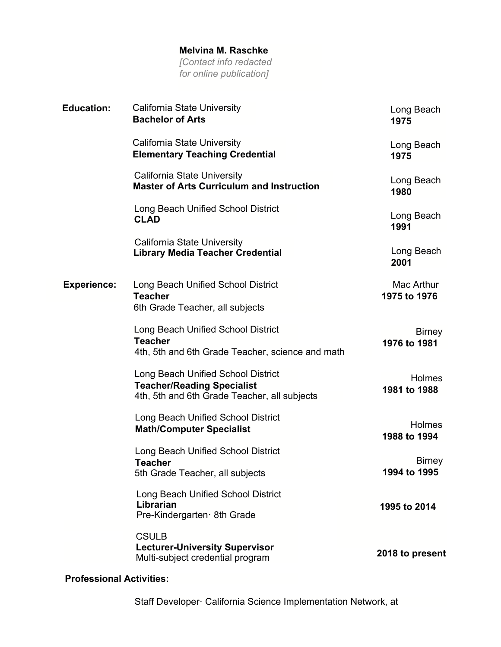## **Melvina M. Raschke**

*[Contact info redacted for online publication]*

| <b>Education:</b>  | California State University<br><b>Bachelor of Arts</b>                                                                  | Long Beach<br>1975            |
|--------------------|-------------------------------------------------------------------------------------------------------------------------|-------------------------------|
|                    | <b>California State University</b><br><b>Elementary Teaching Credential</b>                                             | Long Beach<br>1975            |
|                    | California State University<br><b>Master of Arts Curriculum and Instruction</b>                                         | Long Beach<br>1980            |
|                    | Long Beach Unified School District<br><b>CLAD</b>                                                                       | Long Beach<br>1991            |
|                    | California State University<br><b>Library Media Teacher Credential</b>                                                  | Long Beach<br>2001            |
| <b>Experience:</b> | Long Beach Unified School District<br><b>Teacher</b><br>6th Grade Teacher, all subjects                                 | Mac Arthur<br>1975 to 1976    |
|                    | Long Beach Unified School District<br><b>Teacher</b><br>4th, 5th and 6th Grade Teacher, science and math                | <b>Birney</b><br>1976 to 1981 |
|                    | Long Beach Unified School District<br><b>Teacher/Reading Specialist</b><br>4th, 5th and 6th Grade Teacher, all subjects | <b>Holmes</b><br>1981 to 1988 |
|                    | Long Beach Unified School District<br><b>Math/Computer Specialist</b>                                                   | <b>Holmes</b><br>1988 to 1994 |
|                    | Long Beach Unified School District<br><b>Teacher</b><br>5th Grade Teacher, all subjects                                 | <b>Birney</b><br>1994 to 1995 |
|                    | Long Beach Unified School District<br>Librarian<br>Pre-Kindergarten 8th Grade                                           | 1995 to 2014                  |
|                    | <b>CSULB</b><br><b>Lecturer-University Supervisor</b><br>Multi-subject credential program                               | 2018 to present               |

## **Professional Activities:**

Staff Developer· California Science Implementation Network, at